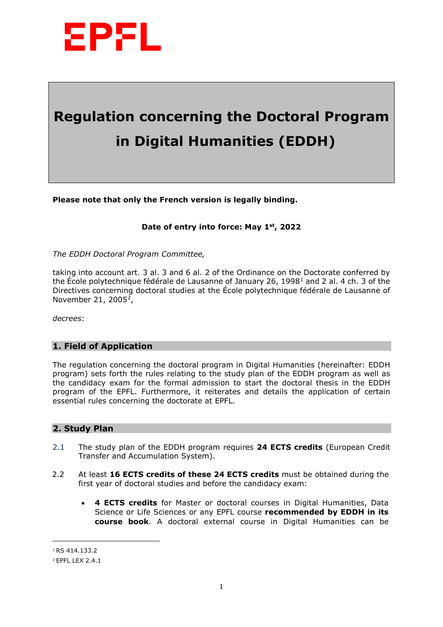

# **Regulation concerning the Doctoral Program in Digital Humanities (EDDH)**

**Please note that only the French version is legally binding.** 

## **Date of entry into force: May 1st, 2022**

*The EDDH Doctoral Program Committee,* 

taking into account art. 3 al. 3 and 6 al. 2 of the Ordinance on the Doctorate conferred by the École polytechnique fédérale de Lausanne of January 26, [1](#page-0-0)998<sup>1</sup> and 2 al. 4 ch. 3 of the Directives concerning doctoral studies at the École polytechnique fédérale de Lausanne of November 21, 2005<sup>2</sup>,

*decrees*:

#### **1. Field of Application**

The regulation concerning the doctoral program in Digital Humanities (hereinafter: EDDH program) sets forth the rules relating to the study plan of the EDDH program as well as the candidacy exam for the formal admission to start the doctoral thesis in the EDDH program of the EPFL. Furthermore, it reiterates and details the application of certain essential rules concerning the doctorate at EPFL.

## **2. Study Plan**

- 2.1 The study plan of the EDDH program requires **24 ECTS credits** (European Credit Transfer and Accumulation System).
- 2.2 At least **16 ECTS credits of these 24 ECTS credits** must be obtained during the first year of doctoral studies and before the candidacy exam:
	- **4 ECTS credits** for Master or doctoral courses in Digital Humanities, Data Science or Life Sciences or any EPFL course **recommended by EDDH in its course book**. A doctoral external course in Digital Humanities can be

 $\overline{a}$ 

<span id="page-0-0"></span><sup>1</sup> RS 414.133.2

<span id="page-0-1"></span><sup>2</sup> EPFL LEX 2.4.1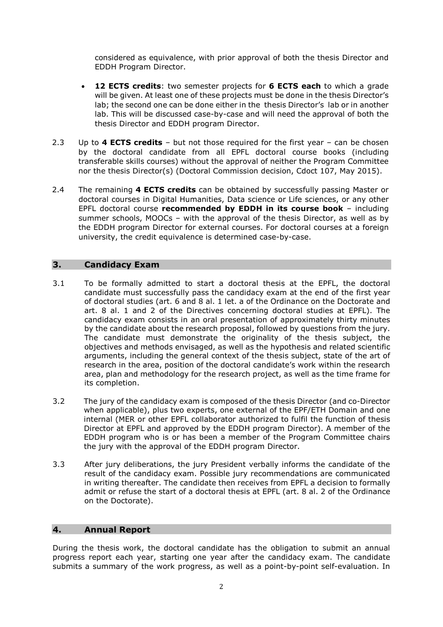considered as equivalence, with prior approval of both the thesis Director and EDDH Program Director.

- **12 ECTS credits**: two semester projects for **6 ECTS each** to which a grade will be given. At least one of these projects must be done in the thesis Director's lab; the second one can be done either in the thesis Director's lab or in another lab. This will be discussed case-by-case and will need the approval of both the thesis Director and EDDH program Director.
- 2.3 Up to **4 ECTS credits** but not those required for the first year can be chosen by the doctoral candidate from all EPFL doctoral course books (including transferable skills courses) without the approval of neither the Program Committee nor the thesis Director(s) (Doctoral Commission decision, Cdoct 107, May 2015).
- 2.4 The remaining **4 ECTS credits** can be obtained by successfully passing Master or doctoral courses in Digital Humanities, Data science or Life sciences, or any other EPFL doctoral course **recommended by EDDH in its course book** – including summer schools, MOOCs – with the approval of the thesis Director, as well as by the EDDH program Director for external courses. For doctoral courses at a foreign university, the credit equivalence is determined case-by-case.

## **3. Candidacy Exam**

- 3.1 To be formally admitted to start a doctoral thesis at the EPFL, the doctoral candidate must successfully pass the candidacy exam at the end of the first year of doctoral studies (art. 6 and 8 al. 1 let. a of the Ordinance on the Doctorate and art. 8 al. 1 and 2 of the Directives concerning doctoral studies at EPFL). The candidacy exam consists in an oral presentation of approximately thirty minutes by the candidate about the research proposal, followed by questions from the jury. The candidate must demonstrate the originality of the thesis subject, the objectives and methods envisaged, as well as the hypothesis and related scientific arguments, including the general context of the thesis subject, state of the art of research in the area, position of the doctoral candidate's work within the research area, plan and methodology for the research project, as well as the time frame for its completion.
- 3.2 The jury of the candidacy exam is composed of the thesis Director (and co-Director when applicable), plus two experts, one external of the EPF/ETH Domain and one internal (MER or other EPFL collaborator authorized to fulfil the function of thesis Director at EPFL and approved by the EDDH program Director). A member of the EDDH program [who is](http://phd.epfl.ch/edms/members) or [has been](https://people.epfl.ch/cathrin.brisken?lang=en) a member of the Program Committee chairs the jury with the approval of the EDDH program Director.
- 3.3 After jury deliberations, the jury President verbally informs the candidate of the result of the candidacy exam. Possible jury recommendations are communicated in writing thereafter. The candidate then receives from EPFL a decision to formally admit or refuse the start of a doctoral thesis at EPFL (art. 8 al. 2 of the Ordinance on the Doctorate).

#### **4. Annual Report**

During the thesis work, the doctoral candidate has the obligation to submit an annual progress report each year, starting one year after the candidacy exam. The candidate submits a summary of the work progress, as well as a point-by-point self-evaluation. In